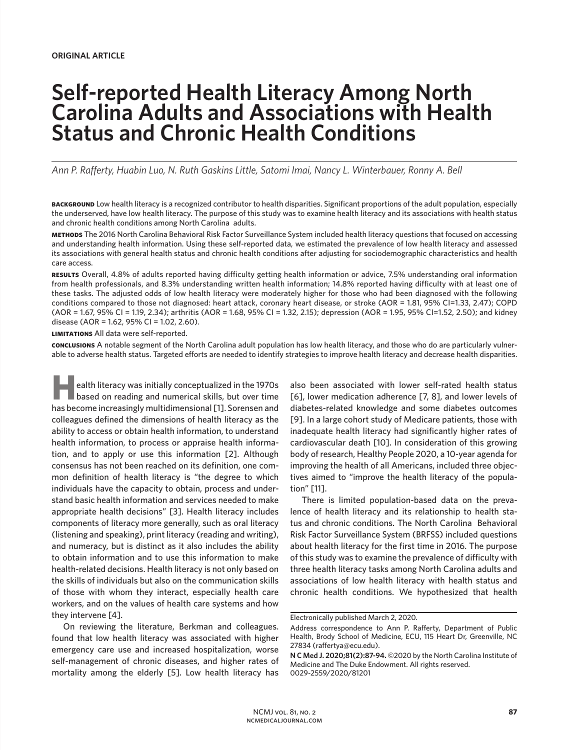# **Self-reported Health Literacy Among North Carolina Adults and Associations with Health Status and Chronic Health Conditions**

*Ann P. Rafferty, Huabin Luo, N. Ruth Gaskins Little, Satomi Imai, Nancy L. Winterbauer, Ronny A. Bell*

**BACKGROUND** Low health literacy is a recognized contributor to health disparities. Significant proportions of the adult population, especially the underserved, have low health literacy. The purpose of this study was to examine health literacy and its associations with health status and chronic health conditions among North Carolina adults.

**methods** The 2016 North Carolina Behavioral Risk Factor Surveillance System included health literacy questions that focused on accessing and understanding health information. Using these self-reported data, we estimated the prevalence of low health literacy and assessed its associations with general health status and chronic health conditions after adjusting for sociodemographic characteristics and health care access.

**results** Overall, 4.8% of adults reported having difficulty getting health information or advice, 7.5% understanding oral information from health professionals, and 8.3% understanding written health information; 14.8% reported having difficulty with at least one of these tasks. The adjusted odds of low health literacy were moderately higher for those who had been diagnosed with the following conditions compared to those not diagnosed: heart attack, coronary heart disease, or stroke (AOR = 1.81, 95% CI=1.33, 2.47); COPD (AOR = 1.67, 95% CI = 1.19, 2.34); arthritis (AOR = 1.68, 95% CI = 1.32, 2.15); depression (AOR = 1.95, 95% CI=1.52, 2.50); and kidney disease (AOR = 1.62, 95% CI = 1.02, 2.60).

**limitations** All data were self-reported.

**conclusions** A notable segment of the North Carolina adult population has low health literacy, and those who do are particularly vulnerable to adverse health status. Targeted efforts are needed to identify strategies to improve health literacy and decrease health disparities.

**87 Example 12 Example 12 Example 12 Example 12 Example 12 Example 12 Example 12 Example 12 Example 12 Example 12 Example 12 Example 12 Example 12 Example 12 Example 12 Example 12 Example based on reading and numerical skills, but over time** has become increasingly multidimensional [1]. Sorensen and colleagues defined the dimensions of health literacy as the ability to access or obtain health information, to understand health information, to process or appraise health information, and to apply or use this information [2]. Although consensus has not been reached on its definition, one common definition of health literacy is "the degree to which individuals have the capacity to obtain, process and understand basic health information and services needed to make appropriate health decisions" [3]. Health literacy includes components of literacy more generally, such as oral literacy (listening and speaking), print literacy (reading and writing), and numeracy, but is distinct as it also includes the ability to obtain information and to use this information to make health-related decisions. Health literacy is not only based on the skills of individuals but also on the communication skills of those with whom they interact, especially health care workers, and on the values of health care systems and how they intervene [4].

On reviewing the literature, Berkman and colleagues. found that low health literacy was associated with higher emergency care use and increased hospitalization, worse self-management of chronic diseases, and higher rates of mortality among the elderly [5]. Low health literacy has also been associated with lower self-rated health status [6], lower medication adherence [7, 8], and lower levels of diabetes-related knowledge and some diabetes outcomes [9]. In a large cohort study of Medicare patients, those with inadequate health literacy had significantly higher rates of cardiovascular death [10]. In consideration of this growing body of research, Healthy People 2020, a 10-year agenda for improving the health of all Americans, included three objectives aimed to "improve the health literacy of the population" [11].

There is limited population-based data on the prevalence of health literacy and its relationship to health status and chronic conditions. The North Carolina Behavioral Risk Factor Surveillance System (BRFSS) included questions about health literacy for the first time in 2016. The purpose of this study was to examine the prevalence of difficulty with three health literacy tasks among North Carolina adults and associations of low health literacy with health status and chronic health conditions. We hypothesized that health

Electronically published March 2, 2020.

Address correspondence to Ann P. Rafferty, Department of Public Health, Brody School of Medicine, ECU, 115 Heart Dr, Greenville, NC 27834 (raffertya@ecu.edu).

**N C Med J. 2020;81(2):87-94.** ©2020 by the North Carolina Institute of Medicine and The Duke Endowment. All rights reserved. 0029-2559/2020/81201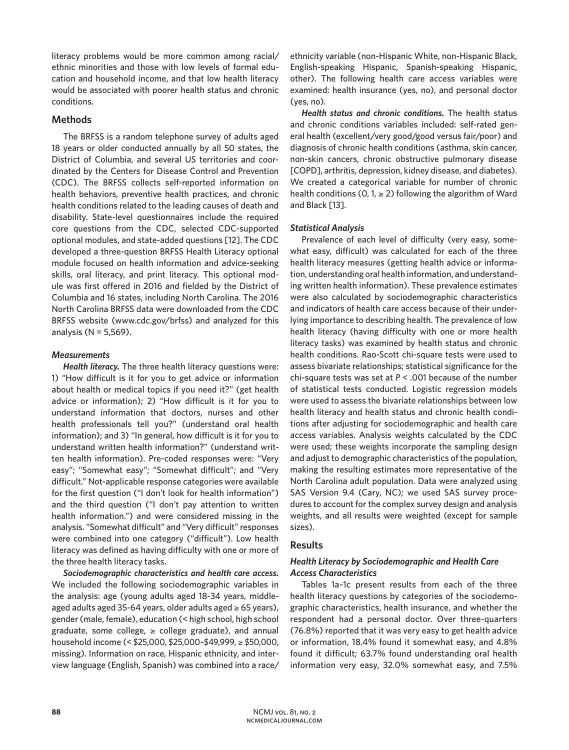literacy problems would be more common among racial/ ethnic minorities and those with low levels of formal education and household income, and that low health literacy would be associated with poorer health status and chronic conditions.

## **Methods**

The BRFSS is a random telephone survey of adults aged 18 years or older conducted annually by all 50 states, the District of Columbia, and several US territories and coordinated by the Centers for Disease Control and Prevention (CDC). The BRFSS collects self-reported information on health behaviors, preventive health practices, and chronic health conditions related to the leading causes of death and disability. State-level questionnaires include the required core questions from the CDC, selected CDC-supported optional modules, and state-added questions [12]. The CDC developed a three-question BRFSS Health Literacy optional module focused on health information and advice-seeking skills, oral literacy, and print literacy. This optional module was first offered in 2016 and fielded by the District of Columbia and 16 states, including North Carolina. The 2016 North Carolina BRFSS data were downloaded from the CDC BRFSS website (www.cdc.gov/brfss) and analyzed for this analysis (N = 5,569).

## *Measurements*

*Health literacy.* The three health literacy questions were: 1) "How difficult is it for you to get advice or information about health or medical topics if you need it?" (get health advice or information); 2) "How difficult is it for you to understand information that doctors, nurses and other health professionals tell you?" (understand oral health information); and 3) "In general, how difficult is it for you to understand written health information?" (understand written health information). Pre-coded responses were: "Very easy"; "Somewhat easy"; "Somewhat difficult"; and "Very difficult." Not-applicable response categories were available for the first question ("I don't look for health information") and the third question ("I don't pay attention to written health information.") and were considered missing in the analysis. "Somewhat difficult" and "Very difficult" responses were combined into one category ("difficult"). Low health literacy was defined as having difficulty with one or more of the three health literacy tasks.

*Sociodemographic characteristics and health care access.*  We included the following sociodemographic variables in the analysis: age (young adults aged 18-34 years, middleaged adults aged 35-64 years, older adults aged  $\geq 65$  years), gender (male, female), education (< high school, high school graduate, some college,  $\geq$  college graduate), and annual household income (< \$25,000, \$25,000–\$49,999, ≥ \$50,000, missing). Information on race, Hispanic ethnicity, and interview language (English, Spanish) was combined into a race/ ethnicity variable (non-Hispanic White, non-Hispanic Black, English-speaking Hispanic, Spanish-speaking Hispanic, other). The following health care access variables were examined: health insurance (yes, no), and personal doctor (yes, no).

*Health status and chronic conditions.* The health status and chronic conditions variables included: self-rated general health (excellent/very good/good versus fair/poor) and diagnosis of chronic health conditions (asthma, skin cancer, non-skin cancers, chronic obstructive pulmonary disease [COPD], arthritis, depression, kidney disease, and diabetes). We created a categorical variable for number of chronic health conditions (0, 1,  $\geq$  2) following the algorithm of Ward and Black [13].

## *Statistical Analysis*

Prevalence of each level of difficulty (very easy, somewhat easy, difficult) was calculated for each of the three health literacy measures (getting health advice or information, understanding oral health information, and understanding written health information). These prevalence estimates were also calculated by sociodemographic characteristics and indicators of health care access because of their underlying importance to describing health. The prevalence of low health literacy (having difficulty with one or more health literacy tasks) was examined by health status and chronic health conditions. Rao-Scott chi-square tests were used to assess bivariate relationships; statistical significance for the chi-square tests was set at *P* < .001 because of the number of statistical tests conducted. Logistic regression models were used to assess the bivariate relationships between low health literacy and health status and chronic health conditions after adjusting for sociodemographic and health care access variables. Analysis weights calculated by the CDC were used; these weights incorporate the sampling design and adjust to demographic characteristics of the population, making the resulting estimates more representative of the North Carolina adult population. Data were analyzed using SAS Version 9.4 (Cary, NC); we used SAS survey procedures to account for the complex survey design and analysis weights, and all results were weighted (except for sample sizes).

## **Results**

# *Health Literacy by Sociodemographic and Health Care Access Characteristics*

Tables 1a–1c present results from each of the three health literacy questions by categories of the sociodemographic characteristics, health insurance, and whether the respondent had a personal doctor. Over three-quarters (76.8%) reported that it was very easy to get health advice or information, 18.4% found it somewhat easy, and 4.8% found it difficult; 63.7% found understanding oral health information very easy, 32.0% somewhat easy, and 7.5%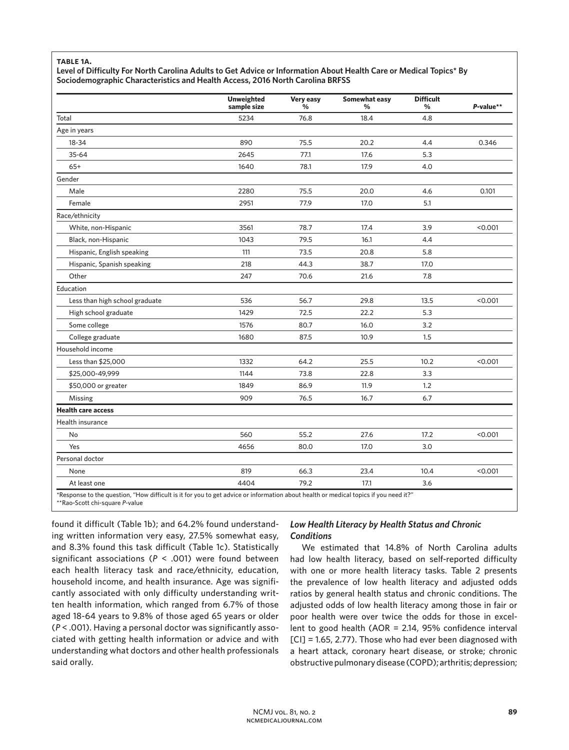### **table 1a.**

**Level of Difficulty For North Carolina Adults to Get Advice or Information About Health Care or Medical Topics\* By Sociodemographic Characteristics and Health Access, 2016 North Carolina BRFSS** 

|                                | <b>Unweighted</b><br>sample size | Very easy<br>% | Somewhat easy<br>% | <b>Difficult</b><br>% | P-value** |
|--------------------------------|----------------------------------|----------------|--------------------|-----------------------|-----------|
| Total                          | 5234                             | 76.8           | 18.4               | 4.8                   |           |
| Age in years                   |                                  |                |                    |                       |           |
| $18 - 34$                      | 890                              | 75.5           | 20.2               | 4.4                   | 0.346     |
| 35-64                          | 2645                             | 77.1           | 17.6               | 5.3                   |           |
| $65+$                          | 1640                             | 78.1           | 17.9               | 4.0                   |           |
| Gender                         |                                  |                |                    |                       |           |
| Male                           | 2280                             | 75.5           | 20.0               | 4.6                   | 0.101     |
| Female                         | 2951                             | 77.9           | 17.0               | 5.1                   |           |
| Race/ethnicity                 |                                  |                |                    |                       |           |
| White, non-Hispanic            | 3561                             | 78.7           | 17.4               | 3.9                   | < 0.001   |
| Black, non-Hispanic            | 1043                             | 79.5           | 16.1               | 4.4                   |           |
| Hispanic, English speaking     | 111                              | 73.5           | 20.8               | 5.8                   |           |
| Hispanic, Spanish speaking     | 218                              | 44.3           | 38.7               | 17.0                  |           |
| Other                          | 247                              | 70.6           | 21.6               | 7.8                   |           |
| Education                      |                                  |                |                    |                       |           |
| Less than high school graduate | 536                              | 56.7           | 29.8               | 13.5                  | < 0.001   |
| High school graduate           | 1429                             | 72.5           | 22.2               | 5.3                   |           |
| Some college                   | 1576                             | 80.7           | 16.0               | 3.2                   |           |
| College graduate               | 1680                             | 87.5           | 10.9               | 1.5                   |           |
| Household income               |                                  |                |                    |                       |           |
| Less than \$25,000             | 1332                             | 64.2           | 25.5               | 10.2                  | < 0.001   |
| \$25,000-49,999                | 1144                             | 73.8           | 22.8               | 3.3                   |           |
| \$50,000 or greater            | 1849                             | 86.9           | 11.9               | 1.2                   |           |
| Missing                        | 909                              | 76.5           | 16.7               | 6.7                   |           |
| <b>Health care access</b>      |                                  |                |                    |                       |           |
| Health insurance               |                                  |                |                    |                       |           |
| No                             | 560                              | 55.2           | 27.6               | 17.2                  | < 0.001   |
| Yes                            | 4656                             | 80.0           | 17.0               | 3.0                   |           |
| Personal doctor                |                                  |                |                    |                       |           |
| None                           | 819                              | 66.3           | 23.4               | 10.4                  | < 0.001   |
| At least one                   | 4404                             | 79.2           | 17.1               | 3.6                   |           |

\*\*Rao-Scott chi-square *P*-value

found it difficult (Table 1b); and 64.2% found understanding written information very easy, 27.5% somewhat easy, and 8.3% found this task difficult (Table 1c). Statistically significant associations (*P* < .001) were found between each health literacy task and race/ethnicity, education, household income, and health insurance. Age was significantly associated with only difficulty understanding written health information, which ranged from 6.7% of those aged 18-64 years to 9.8% of those aged 65 years or older (*P* < .001). Having a personal doctor was significantly associated with getting health information or advice and with understanding what doctors and other health professionals said orally.

# *Low Health Literacy by Health Status and Chronic Conditions*

We estimated that 14.8% of North Carolina adults had low health literacy, based on self-reported difficulty with one or more health literacy tasks. Table 2 presents the prevalence of low health literacy and adjusted odds ratios by general health status and chronic conditions. The adjusted odds of low health literacy among those in fair or poor health were over twice the odds for those in excellent to good health (AOR = 2.14, 95% confidence interval [CI] = 1.65, 2.77). Those who had ever been diagnosed with a heart attack, coronary heart disease, or stroke; chronic obstructive pulmonary disease (COPD); arthritis; depression;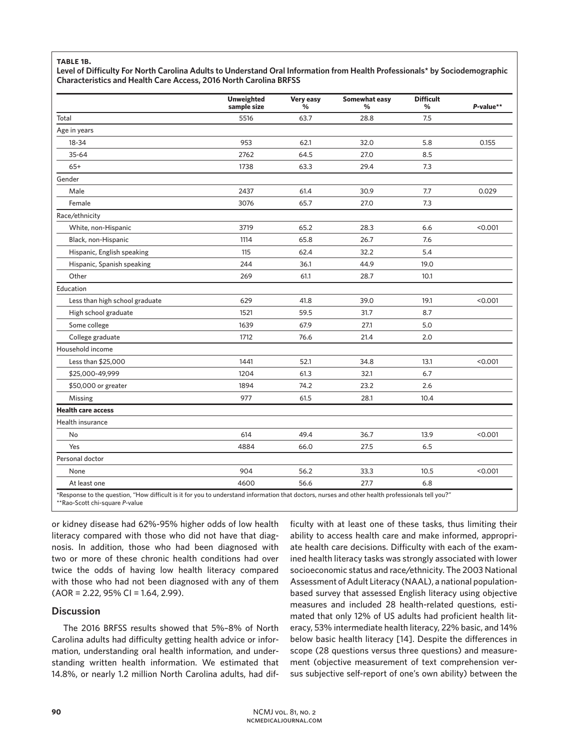### **table 1b.**

**Level of Difficulty For North Carolina Adults to Understand Oral Information from Health Professionals\* by Sociodemographic Characteristics and Health Care Access, 2016 North Carolina BRFSS** 

|                                | <b>Unweighted</b><br>sample size | Very easy<br>$\frac{0}{0}$ | Somewhat easy<br>% | <b>Difficult</b><br>% | P-value** |
|--------------------------------|----------------------------------|----------------------------|--------------------|-----------------------|-----------|
| Total                          | 5516                             | 63.7                       | 28.8               | 7.5                   |           |
| Age in years                   |                                  |                            |                    |                       |           |
| 18-34                          | 953                              | 62.1                       | 32.0               | 5.8                   | 0.155     |
| 35-64                          | 2762                             | 64.5                       | 27.0               | 8.5                   |           |
| $65+$                          | 1738                             | 63.3                       | 29.4               | 7.3                   |           |
| Gender                         |                                  |                            |                    |                       |           |
| Male                           | 2437                             | 61.4                       | 30.9               | 7.7                   | 0.029     |
| Female                         | 3076                             | 65.7                       | 27.0               | 7.3                   |           |
| Race/ethnicity                 |                                  |                            |                    |                       |           |
| White, non-Hispanic            | 3719                             | 65.2                       | 28.3               | 6.6                   | < 0.001   |
| Black, non-Hispanic            | 1114                             | 65.8                       | 26.7               | 7.6                   |           |
| Hispanic, English speaking     | 115                              | 62.4                       | 32.2               | 5.4                   |           |
| Hispanic, Spanish speaking     | 244                              | 36.1                       | 44.9               | 19.0                  |           |
| Other                          | 269                              | 61.1                       | 28.7               | 10.1                  |           |
| Education                      |                                  |                            |                    |                       |           |
| Less than high school graduate | 629                              | 41.8                       | 39.0               | 19.1                  | < 0.001   |
| High school graduate           | 1521                             | 59.5                       | 31.7               | 8.7                   |           |
| Some college                   | 1639                             | 67.9                       | 27.1               | 5.0                   |           |
| College graduate               | 1712                             | 76.6                       | 21.4               | 2.0                   |           |
| Household income               |                                  |                            |                    |                       |           |
| Less than \$25,000             | 1441                             | 52.1                       | 34.8               | 13.1                  | < 0.001   |
| \$25,000-49,999                | 1204                             | 61.3                       | 32.1               | 6.7                   |           |
| \$50,000 or greater            | 1894                             | 74.2                       | 23.2               | 2.6                   |           |
| Missing                        | 977                              | 61.5                       | 28.1               | 10.4                  |           |
| <b>Health care access</b>      |                                  |                            |                    |                       |           |
| Health insurance               |                                  |                            |                    |                       |           |
| No                             | 614                              | 49.4                       | 36.7               | 13.9                  | < 0.001   |
| Yes                            | 4884                             | 66.0                       | 27.5               | 6.5                   |           |
| Personal doctor                |                                  |                            |                    |                       |           |
| None                           | 904                              | 56.2                       | 33.3               | 10.5                  | < 0.001   |
| At least one                   | 4600                             | 56.6                       | 27.7               | 6.8                   |           |

\*\*Rao-Scott chi-square *P*-value

or kidney disease had 62%-95% higher odds of low health literacy compared with those who did not have that diagnosis. In addition, those who had been diagnosed with two or more of these chronic health conditions had over twice the odds of having low health literacy compared with those who had not been diagnosed with any of them (AOR = 2.22, 95% CI = 1.64, 2.99).

## **Discussion**

The 2016 BRFSS results showed that 5%–8% of North Carolina adults had difficulty getting health advice or information, understanding oral health information, and understanding written health information. We estimated that 14.8%, or nearly 1.2 million North Carolina adults, had difficulty with at least one of these tasks, thus limiting their ability to access health care and make informed, appropriate health care decisions. Difficulty with each of the examined health literacy tasks was strongly associated with lower socioeconomic status and race/ethnicity. The 2003 National Assessment of Adult Literacy (NAAL), a national populationbased survey that assessed English literacy using objective measures and included 28 health-related questions, estimated that only 12% of US adults had proficient health literacy, 53% intermediate health literacy, 22% basic, and 14% below basic health literacy [14]. Despite the differences in scope (28 questions versus three questions) and measurement (objective measurement of text comprehension versus subjective self-report of one's own ability) between the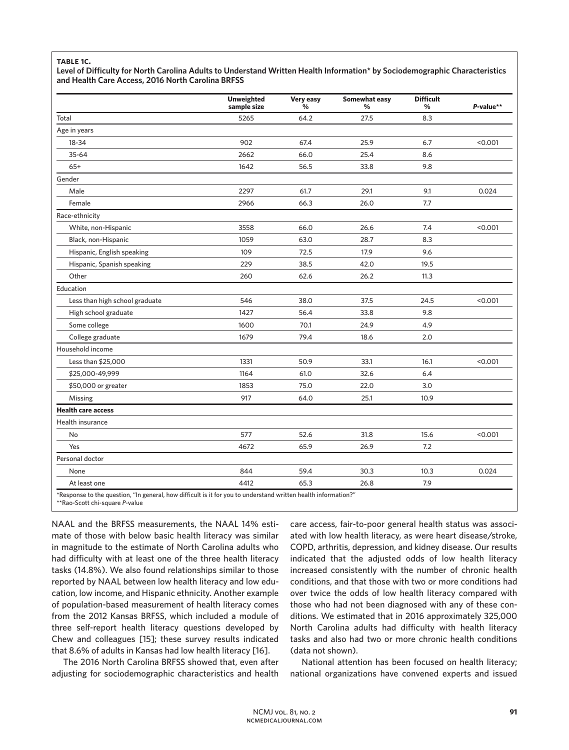#### **table 1c.**

**Level of Difficulty for North Carolina Adults to Understand Written Health Information\* by Sociodemographic Characteristics and Health Care Access, 2016 North Carolina BRFSS** 

|                                | <b>Unweighted</b><br>sample size | Very easy<br>% | <b>Somewhat easy</b><br>% | <b>Difficult</b><br>% | P-value** |
|--------------------------------|----------------------------------|----------------|---------------------------|-----------------------|-----------|
| Total                          | 5265                             | 64.2           | 27.5                      | 8.3                   |           |
| Age in years                   |                                  |                |                           |                       |           |
| 18-34                          | 902                              | 67.4           | 25.9                      | 6.7                   | < 0.001   |
| $35 - 64$                      | 2662                             | 66.0           | 25.4                      | 8.6                   |           |
| $65+$                          | 1642                             | 56.5           | 33.8                      | 9.8                   |           |
| Gender                         |                                  |                |                           |                       |           |
| Male                           | 2297                             | 61.7           | 29.1                      | 9.1                   | 0.024     |
| Female                         | 2966                             | 66.3           | 26.0                      | 7.7                   |           |
| Race-ethnicity                 |                                  |                |                           |                       |           |
| White, non-Hispanic            | 3558                             | 66.0           | 26.6                      | 7.4                   | < 0.001   |
| Black, non-Hispanic            | 1059                             | 63.0           | 28.7                      | 8.3                   |           |
| Hispanic, English speaking     | 109                              | 72.5           | 17.9                      | 9.6                   |           |
| Hispanic, Spanish speaking     | 229                              | 38.5           | 42.0                      | 19.5                  |           |
| Other                          | 260                              | 62.6           | 26.2                      | 11.3                  |           |
| Education                      |                                  |                |                           |                       |           |
| Less than high school graduate | 546                              | 38.0           | 37.5                      | 24.5                  | < 0.001   |
| High school graduate           | 1427                             | 56.4           | 33.8                      | 9.8                   |           |
| Some college                   | 1600                             | 70.1           | 24.9                      | 4.9                   |           |
| College graduate               | 1679                             | 79.4           | 18.6                      | 2.0                   |           |
| Household income               |                                  |                |                           |                       |           |
| Less than \$25,000             | 1331                             | 50.9           | 33.1                      | 16.1                  | < 0.001   |
| \$25,000-49,999                | 1164                             | 61.0           | 32.6                      | 6.4                   |           |
| \$50,000 or greater            | 1853                             | 75.0           | 22.0                      | 3.0                   |           |
| Missing                        | 917                              | 64.0           | 25.1                      | 10.9                  |           |
| <b>Health care access</b>      |                                  |                |                           |                       |           |
| Health insurance               |                                  |                |                           |                       |           |
| No                             | 577                              | 52.6           | 31.8                      | 15.6                  | < 0.001   |
| Yes                            | 4672                             | 65.9           | 26.9                      | 7.2                   |           |
| Personal doctor                |                                  |                |                           |                       |           |
| None                           | 844                              | 59.4           | 30.3                      | 10.3                  | 0.024     |
| At least one                   | 4412                             | 65.3           | 26.8                      | 7.9                   |           |

\*\*Rao-Scott chi-square *P*-value

NAAL and the BRFSS measurements, the NAAL 14% estimate of those with below basic health literacy was similar in magnitude to the estimate of North Carolina adults who had difficulty with at least one of the three health literacy tasks (14.8%). We also found relationships similar to those reported by NAAL between low health literacy and low education, low income, and Hispanic ethnicity. Another example of population-based measurement of health literacy comes from the 2012 Kansas BRFSS, which included a module of three self-report health literacy questions developed by Chew and colleagues [15]; these survey results indicated that 8.6% of adults in Kansas had low health literacy [16].

The 2016 North Carolina BRFSS showed that, even after adjusting for sociodemographic characteristics and health

care access, fair-to-poor general health status was associated with low health literacy, as were heart disease/stroke, COPD, arthritis, depression, and kidney disease. Our results indicated that the adjusted odds of low health literacy increased consistently with the number of chronic health conditions, and that those with two or more conditions had over twice the odds of low health literacy compared with those who had not been diagnosed with any of these conditions. We estimated that in 2016 approximately 325,000 North Carolina adults had difficulty with health literacy tasks and also had two or more chronic health conditions (data not shown).

National attention has been focused on health literacy; national organizations have convened experts and issued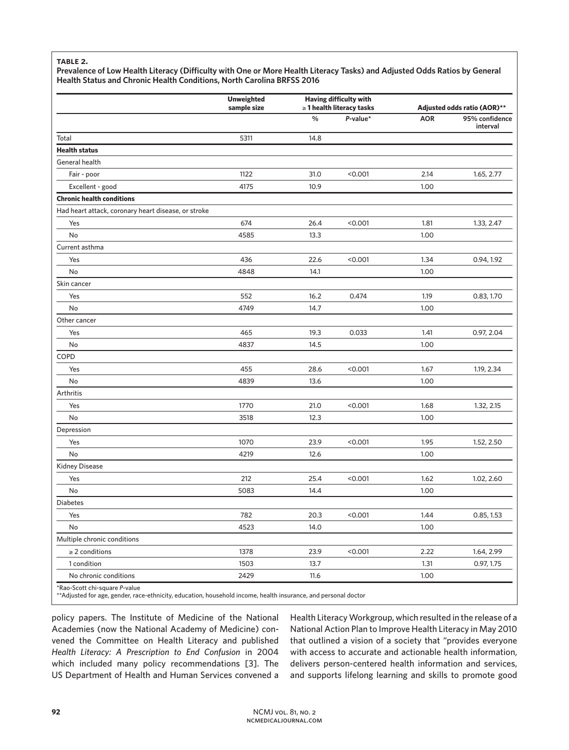### **table 2.**

**Prevalence of Low Health Literacy (Difficulty with One or More Health Literacy Tasks) and Adjusted Odds Ratios by General Health Status and Chronic Health Conditions, North Carolina BRFSS 2016** 

|                                                     | <b>Unweighted</b><br>sample size | <b>Having difficulty with</b><br>$\geq$ 1 health literacy tasks |             | Adjusted odds ratio (AOR)** |                            |
|-----------------------------------------------------|----------------------------------|-----------------------------------------------------------------|-------------|-----------------------------|----------------------------|
|                                                     |                                  | $\frac{0}{0}$                                                   | $P$ -value* | <b>AOR</b>                  | 95% confidence<br>interval |
| Total                                               | 5311                             | 14.8                                                            |             |                             |                            |
| <b>Health status</b>                                |                                  |                                                                 |             |                             |                            |
| General health                                      |                                  |                                                                 |             |                             |                            |
| Fair - poor                                         | 1122                             | 31.0                                                            | < 0.001     | 2.14                        | 1.65, 2.77                 |
| Excellent - good                                    | 4175                             | 10.9                                                            |             | 1.00                        |                            |
| <b>Chronic health conditions</b>                    |                                  |                                                                 |             |                             |                            |
| Had heart attack, coronary heart disease, or stroke |                                  |                                                                 |             |                             |                            |
| Yes                                                 | 674                              | 26.4                                                            | < 0.001     | 1.81                        | 1.33, 2.47                 |
| No                                                  | 4585                             | 13.3                                                            |             | 1.00                        |                            |
| Current asthma                                      |                                  |                                                                 |             |                             |                            |
| Yes                                                 | 436                              | 22.6                                                            | < 0.001     | 1.34                        | 0.94, 1.92                 |
| No                                                  | 4848                             | 14.1                                                            |             | 1.00                        |                            |
| Skin cancer                                         |                                  |                                                                 |             |                             |                            |
| Yes                                                 | 552                              | 16.2                                                            | 0.474       | 1.19                        | 0.83, 1.70                 |
| No                                                  | 4749                             | 14.7                                                            |             | 1.00                        |                            |
| Other cancer                                        |                                  |                                                                 |             |                             |                            |
| Yes                                                 | 465                              | 19.3                                                            | 0.033       | 1.41                        | 0.97, 2.04                 |
| No                                                  | 4837                             | 14.5                                                            |             | 1.00                        |                            |
| COPD                                                |                                  |                                                                 |             |                             |                            |
| Yes                                                 | 455                              | 28.6                                                            | < 0.001     | 1.67                        | 1.19, 2.34                 |
| No                                                  | 4839                             | 13.6                                                            |             | 1.00                        |                            |
| Arthritis                                           |                                  |                                                                 |             |                             |                            |
| Yes                                                 | 1770                             | 21.0                                                            | < 0.001     | 1.68                        | 1.32, 2.15                 |
| No                                                  | 3518                             | 12.3                                                            |             | 1.00                        |                            |
| Depression                                          |                                  |                                                                 |             |                             |                            |
| Yes                                                 | 1070                             | 23.9                                                            | < 0.001     | 1.95                        | 1.52, 2.50                 |
| No                                                  | 4219                             | 12.6                                                            |             | 1.00                        |                            |
| Kidney Disease                                      |                                  |                                                                 |             |                             |                            |
| Yes                                                 | 212                              | 25.4                                                            | < 0.001     | 1.62                        | 1.02, 2.60                 |
| No                                                  | 5083                             | 14.4                                                            |             | 1.00                        |                            |
| <b>Diabetes</b>                                     |                                  |                                                                 |             |                             |                            |
| Yes                                                 | 782                              | 20.3                                                            | < 0.001     | 1.44                        | 0.85, 1.53                 |
| No                                                  | 4523                             | 14.0                                                            |             | 1.00                        |                            |
| Multiple chronic conditions                         |                                  |                                                                 |             |                             |                            |
| $\geq$ 2 conditions                                 | 1378                             | 23.9                                                            | < 0.001     | 2.22                        | 1.64, 2.99                 |
| 1 condition                                         | 1503                             | 13.7                                                            |             | 1.31                        | 0.97, 1.75                 |
| No chronic conditions                               | 2429                             | 11.6                                                            |             | 1.00                        |                            |
| *Rao-Scott chi-square P-value                       |                                  |                                                                 |             |                             |                            |

\*\*Adjusted for age, gender, race-ethnicity, education, household income, health insurance, and personal doctor

policy papers. The Institute of Medicine of the National Academies (now the National Academy of Medicine) convened the Committee on Health Literacy and published *Health Literacy: A Prescription to End Confusion* in 2004 which included many policy recommendations [3]. The US Department of Health and Human Services convened a

Health Literacy Workgroup, which resulted in the release of a National Action Plan to Improve Health Literacy in May 2010 that outlined a vision of a society that "provides everyone with access to accurate and actionable health information, delivers person-centered health information and services, and supports lifelong learning and skills to promote good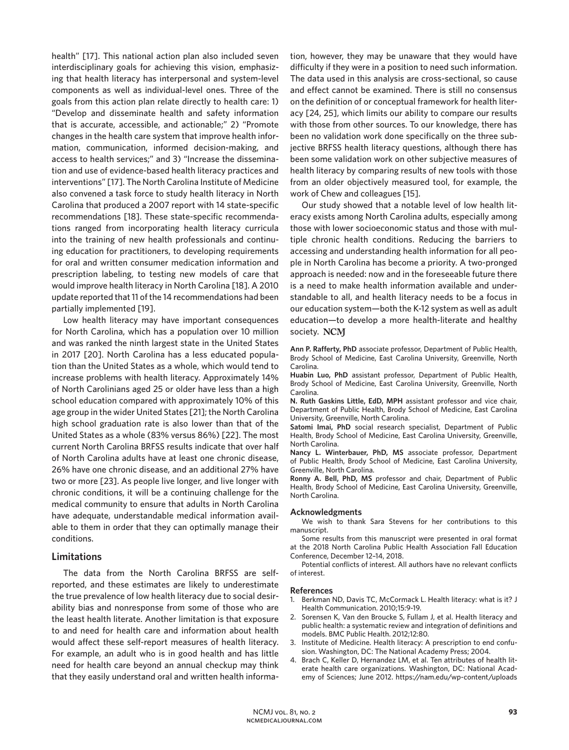health" [17]. This national action plan also included seven interdisciplinary goals for achieving this vision, emphasizing that health literacy has interpersonal and system-level components as well as individual-level ones. Three of the goals from this action plan relate directly to health care: 1) "Develop and disseminate health and safety information that is accurate, accessible, and actionable;" 2) "Promote changes in the health care system that improve health information, communication, informed decision-making, and access to health services;" and 3) "Increase the dissemination and use of evidence-based health literacy practices and interventions" [17]. The North Carolina Institute of Medicine also convened a task force to study health literacy in North Carolina that produced a 2007 report with 14 state-specific recommendations [18]. These state-specific recommendations ranged from incorporating health literacy curricula into the training of new health professionals and continuing education for practitioners, to developing requirements for oral and written consumer medication information and prescription labeling, to testing new models of care that would improve health literacy in North Carolina [18]. A 2010 update reported that 11 of the 14 recommendations had been partially implemented [19].

Low health literacy may have important consequences for North Carolina, which has a population over 10 million and was ranked the ninth largest state in the United States in 2017 [20]. North Carolina has a less educated population than the United States as a whole, which would tend to increase problems with health literacy. Approximately 14% of North Carolinians aged 25 or older have less than a high school education compared with approximately 10% of this age group in the wider United States [21]; the North Carolina high school graduation rate is also lower than that of the United States as a whole (83% versus 86%) [22]. The most current North Carolina BRFSS results indicate that over half of North Carolina adults have at least one chronic disease, 26% have one chronic disease, and an additional 27% have two or more [23]. As people live longer, and live longer with chronic conditions, it will be a continuing challenge for the medical community to ensure that adults in North Carolina have adequate, understandable medical information available to them in order that they can optimally manage their conditions.

## **Limitations**

The data from the North Carolina BRFSS are selfreported, and these estimates are likely to underestimate the true prevalence of low health literacy due to social desirability bias and nonresponse from some of those who are the least health literate. Another limitation is that exposure to and need for health care and information about health would affect these self-report measures of health literacy. For example, an adult who is in good health and has little need for health care beyond an annual checkup may think that they easily understand oral and written health informa-

tion, however, they may be unaware that they would have difficulty if they were in a position to need such information. The data used in this analysis are cross-sectional, so cause and effect cannot be examined. There is still no consensus on the definition of or conceptual framework for health literacy [24, 25], which limits our ability to compare our results with those from other sources. To our knowledge, there has been no validation work done specifically on the three subjective BRFSS health literacy questions, although there has been some validation work on other subjective measures of health literacy by comparing results of new tools with those from an older objectively measured tool, for example, the work of Chew and colleagues [15].

Our study showed that a notable level of low health literacy exists among North Carolina adults, especially among those with lower socioeconomic status and those with multiple chronic health conditions. Reducing the barriers to accessing and understanding health information for all people in North Carolina has become a priority. A two-pronged approach is needed: now and in the foreseeable future there is a need to make health information available and understandable to all, and health literacy needs to be a focus in our education system—both the K-12 system as well as adult education—to develop a more health-literate and healthy society. NCM

**Ann P. Rafferty, PhD** associate professor, Department of Public Health, Brody School of Medicine, East Carolina University, Greenville, North Carolina.

**Huabin Luo, PhD** assistant professor, Department of Public Health, Brody School of Medicine, East Carolina University, Greenville, North Carolina.

**N. Ruth Gaskins Little, EdD, MPH** assistant professor and vice chair, Department of Public Health, Brody School of Medicine, East Carolina University, Greenville, North Carolina.

**Satomi Imai, PhD** social research specialist, Department of Public Health, Brody School of Medicine, East Carolina University, Greenville, North Carolina.

**Nancy L. Winterbauer, PhD, MS** associate professor, Department of Public Health, Brody School of Medicine, East Carolina University, Greenville, North Carolina.

**Ronny A. Bell, PhD, MS** professor and chair, Department of Public Health, Brody School of Medicine, East Carolina University, Greenville, North Carolina.

#### **Acknowledgments**

We wish to thank Sara Stevens for her contributions to this manuscript.

Some results from this manuscript were presented in oral format at the 2018 North Carolina Public Health Association Fall Education Conference, December 12–14, 2018.

Potential conflicts of interest. All authors have no relevant conflicts of interest.

#### **References**

- 1. Berkman ND, Davis TC, McCormack L. Health literacy: what is it? J Health Communication. 2010;15:9-19.
- 2. Sorensen K, Van den Broucke S, Fullam J, et al. Health literacy and public health: a systematic review and integration of definitions and models. BMC Public Health. 2012;12:80.
- 3. Institute of Medicine. Health literacy: A prescription to end confusion. Washington, DC: The National Academy Press; 2004.
- 4. Brach C, Keller D, Hernandez LM, et al. Ten attributes of health literate health care organizations. Washington, DC: National Academy of Sciences; June 2012. https://nam.edu/wp-content/uploads